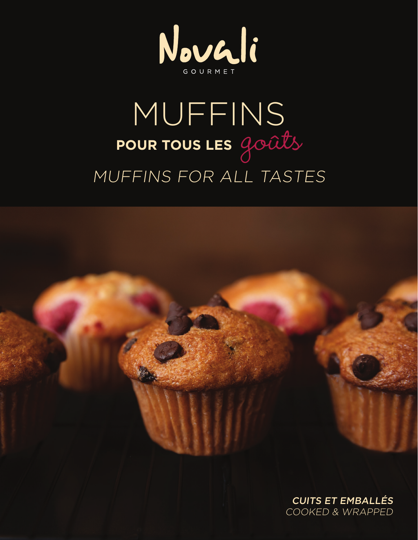

## MUFFINS POUR TOUS LES GOUTS MUFFINS FOR ALL TASTES